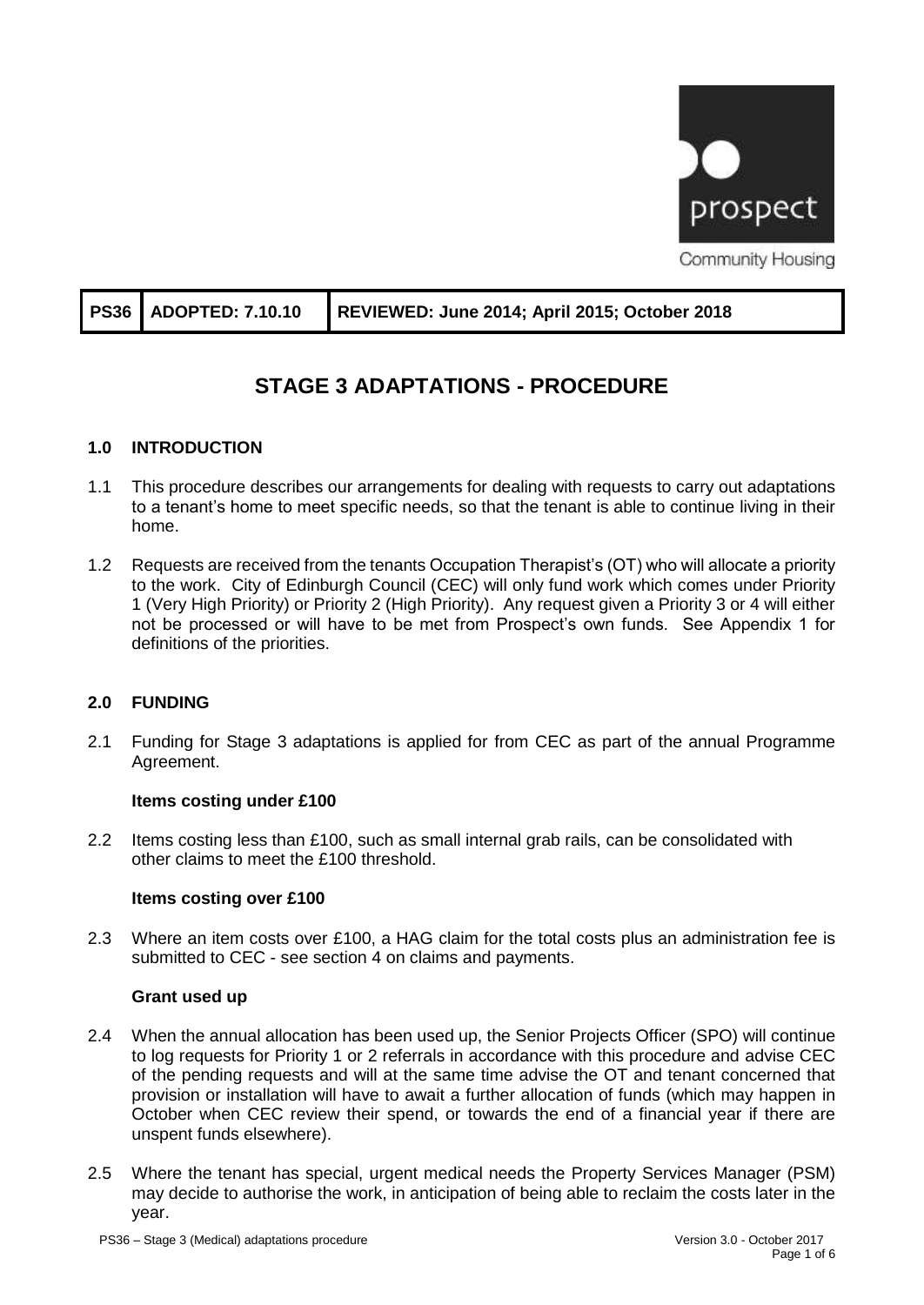

|  | PS36 ADOPTED: 7.10.10 REVIEWED: June 2014; April 2015; October 2018 |
|--|---------------------------------------------------------------------|
|--|---------------------------------------------------------------------|

# **STAGE 3 ADAPTATIONS - PROCEDURE**

# **1.0 INTRODUCTION**

- 1.1 This procedure describes our arrangements for dealing with requests to carry out adaptations to a tenant's home to meet specific needs, so that the tenant is able to continue living in their home.
- 1.2 Requests are received from the tenants Occupation Therapist's (OT) who will allocate a priority to the work. City of Edinburgh Council (CEC) will only fund work which comes under Priority 1 (Very High Priority) or Priority 2 (High Priority). Any request given a Priority 3 or 4 will either not be processed or will have to be met from Prospect's own funds. See Appendix 1 for definitions of the priorities.

#### **2.0 FUNDING**

2.1 Funding for Stage 3 adaptations is applied for from CEC as part of the annual Programme Agreement.

#### **Items costing under £100**

2.2 Items costing less than £100, such as small internal grab rails, can be consolidated with other claims to meet the £100 threshold.

#### **Items costing over £100**

2.3 Where an item costs over £100, a HAG claim for the total costs plus an administration fee is submitted to CEC - see section 4 on claims and payments.

#### **Grant used up**

- 2.4 When the annual allocation has been used up, the Senior Projects Officer (SPO) will continue to log requests for Priority 1 or 2 referrals in accordance with this procedure and advise CEC of the pending requests and will at the same time advise the OT and tenant concerned that provision or installation will have to await a further allocation of funds (which may happen in October when CEC review their spend, or towards the end of a financial year if there are unspent funds elsewhere).
- 2.5 Where the tenant has special, urgent medical needs the Property Services Manager (PSM) may decide to authorise the work, in anticipation of being able to reclaim the costs later in the year.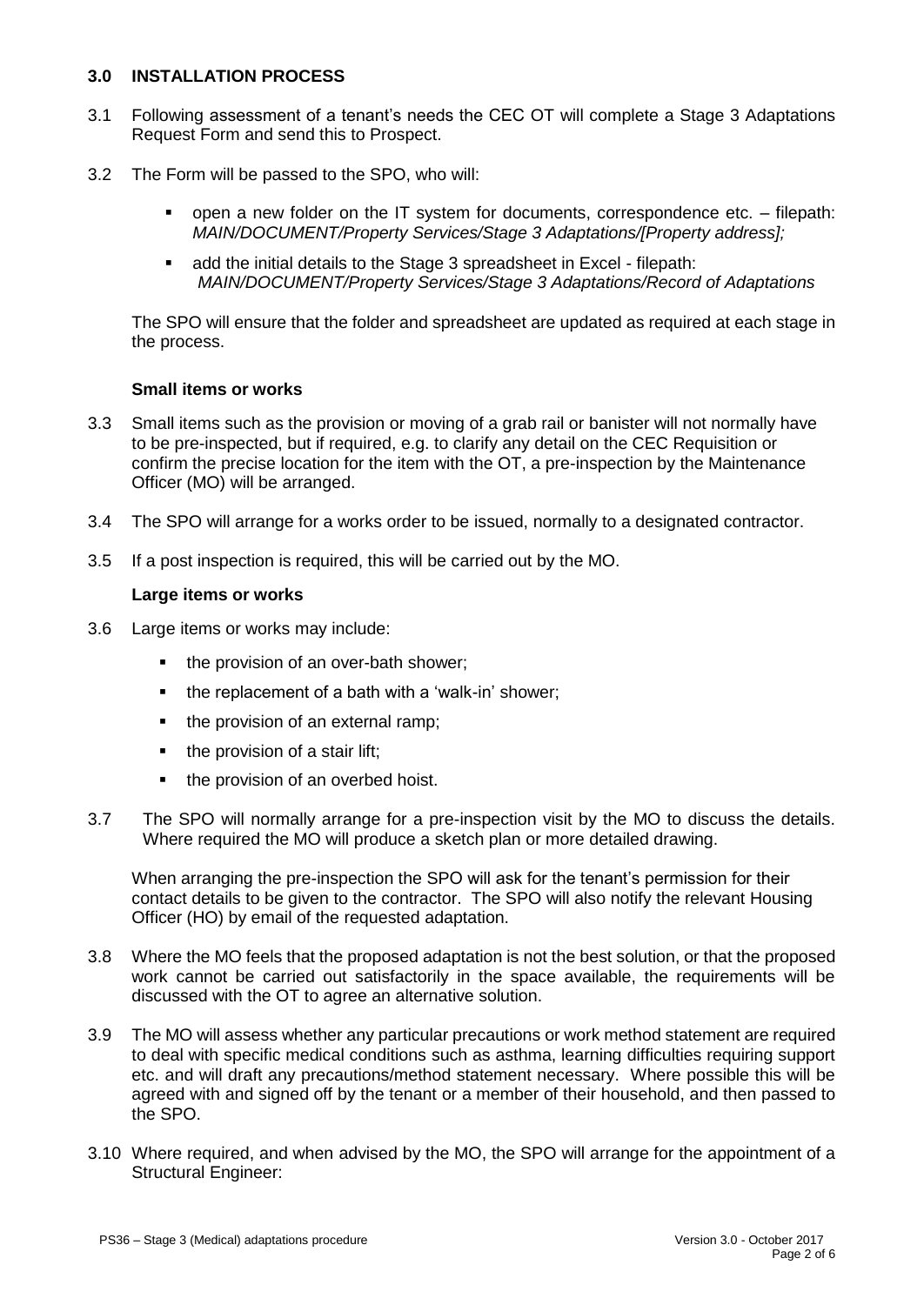#### **3.0 INSTALLATION PROCESS**

- 3.1 Following assessment of a tenant's needs the CEC OT will complete a Stage 3 Adaptations Request Form and send this to Prospect.
- 3.2 The Form will be passed to the SPO, who will:
	- open a new folder on the IT system for documents, correspondence etc. filepath: *MAIN/DOCUMENT/Property Services/Stage 3 Adaptations/[Property address];*
	- add the initial details to the Stage 3 spreadsheet in Excel filepath: *MAIN/DOCUMENT/Property Services/Stage 3 Adaptations/Record of Adaptations*

The SPO will ensure that the folder and spreadsheet are updated as required at each stage in the process.

#### **Small items or works**

- 3.3 Small items such as the provision or moving of a grab rail or banister will not normally have to be pre-inspected, but if required, e.g. to clarify any detail on the CEC Requisition or confirm the precise location for the item with the OT, a pre-inspection by the Maintenance Officer (MO) will be arranged.
- 3.4 The SPO will arrange for a works order to be issued, normally to a designated contractor.
- 3.5 If a post inspection is required, this will be carried out by the MO.

#### **Large items or works**

- 3.6 Large items or works may include:
	- the provision of an over-bath shower;
	- the replacement of a bath with a 'walk-in' shower;
	- the provision of an external ramp;
	- the provision of a stair lift;
	- the provision of an overbed hoist.
- 3.7 The SPO will normally arrange for a pre-inspection visit by the MO to discuss the details. Where required the MO will produce a sketch plan or more detailed drawing.

When arranging the pre-inspection the SPO will ask for the tenant's permission for their contact details to be given to the contractor. The SPO will also notify the relevant Housing Officer (HO) by email of the requested adaptation.

- 3.8 Where the MO feels that the proposed adaptation is not the best solution, or that the proposed work cannot be carried out satisfactorily in the space available, the requirements will be discussed with the OT to agree an alternative solution.
- 3.9 The MO will assess whether any particular precautions or work method statement are required to deal with specific medical conditions such as asthma, learning difficulties requiring support etc. and will draft any precautions/method statement necessary. Where possible this will be agreed with and signed off by the tenant or a member of their household, and then passed to the SPO.
- 3.10 Where required, and when advised by the MO, the SPO will arrange for the appointment of a Structural Engineer: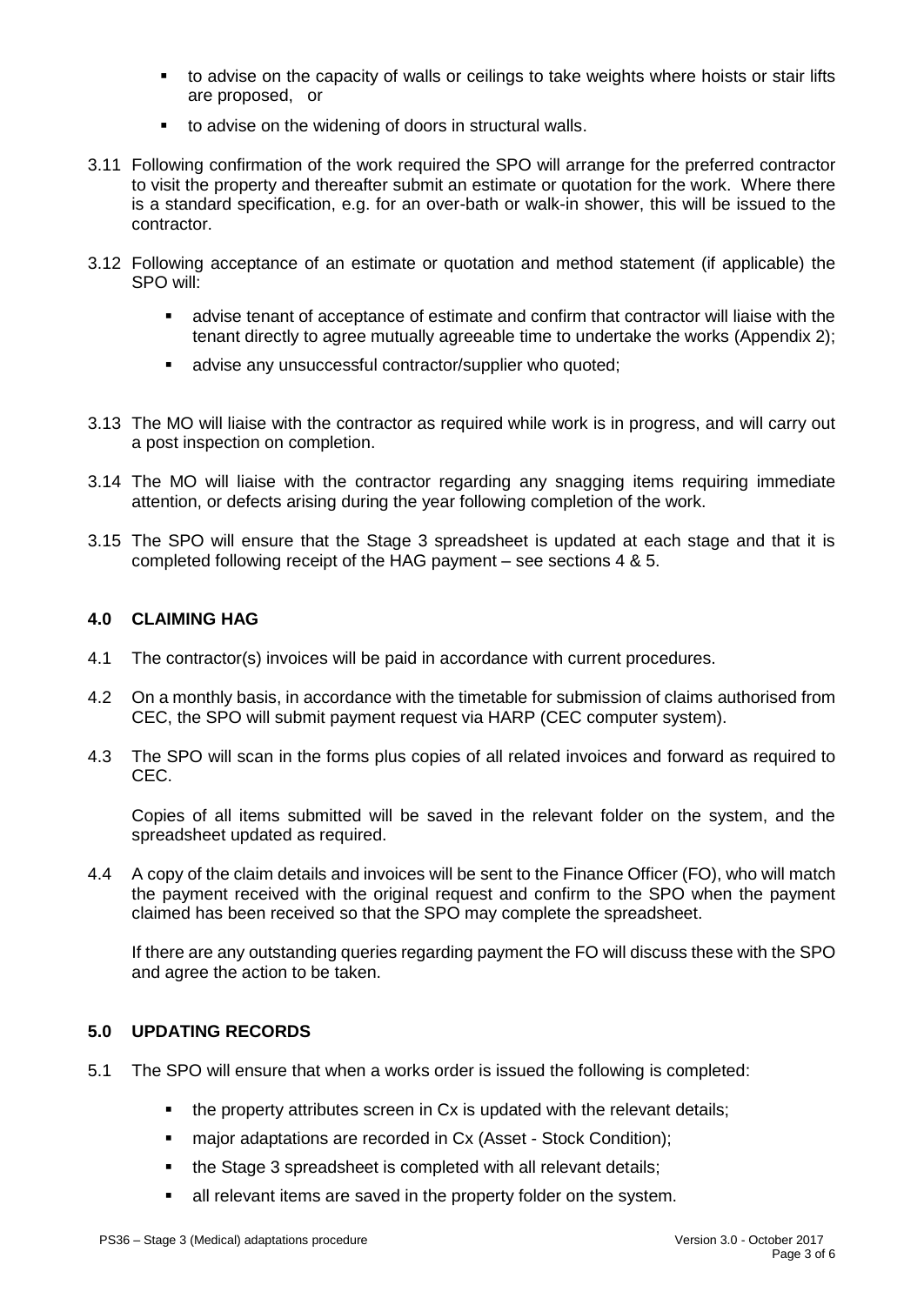- to advise on the capacity of walls or ceilings to take weights where hoists or stair lifts are proposed, or
- to advise on the widening of doors in structural walls.
- 3.11 Following confirmation of the work required the SPO will arrange for the preferred contractor to visit the property and thereafter submit an estimate or quotation for the work. Where there is a standard specification, e.g. for an over-bath or walk-in shower, this will be issued to the contractor.
- 3.12 Following acceptance of an estimate or quotation and method statement (if applicable) the SPO will:
	- advise tenant of acceptance of estimate and confirm that contractor will liaise with the tenant directly to agree mutually agreeable time to undertake the works (Appendix 2);
	- advise any unsuccessful contractor/supplier who quoted:
- 3.13 The MO will liaise with the contractor as required while work is in progress, and will carry out a post inspection on completion.
- 3.14 The MO will liaise with the contractor regarding any snagging items requiring immediate attention, or defects arising during the year following completion of the work.
- 3.15 The SPO will ensure that the Stage 3 spreadsheet is updated at each stage and that it is completed following receipt of the HAG payment – see sections 4 & 5.

# **4.0 CLAIMING HAG**

- 4.1 The contractor(s) invoices will be paid in accordance with current procedures.
- 4.2 On a monthly basis, in accordance with the timetable for submission of claims authorised from CEC, the SPO will submit payment request via HARP (CEC computer system).
- 4.3 The SPO will scan in the forms plus copies of all related invoices and forward as required to CEC.

Copies of all items submitted will be saved in the relevant folder on the system, and the spreadsheet updated as required.

4.4 A copy of the claim details and invoices will be sent to the Finance Officer (FO), who will match the payment received with the original request and confirm to the SPO when the payment claimed has been received so that the SPO may complete the spreadsheet.

If there are any outstanding queries regarding payment the FO will discuss these with the SPO and agree the action to be taken.

#### **5.0 UPDATING RECORDS**

- 5.1 The SPO will ensure that when a works order is issued the following is completed:
	- the property attributes screen in Cx is updated with the relevant details;
	- major adaptations are recorded in Cx (Asset Stock Condition);
	- the Stage 3 spreadsheet is completed with all relevant details;
	- **E** all relevant items are saved in the property folder on the system.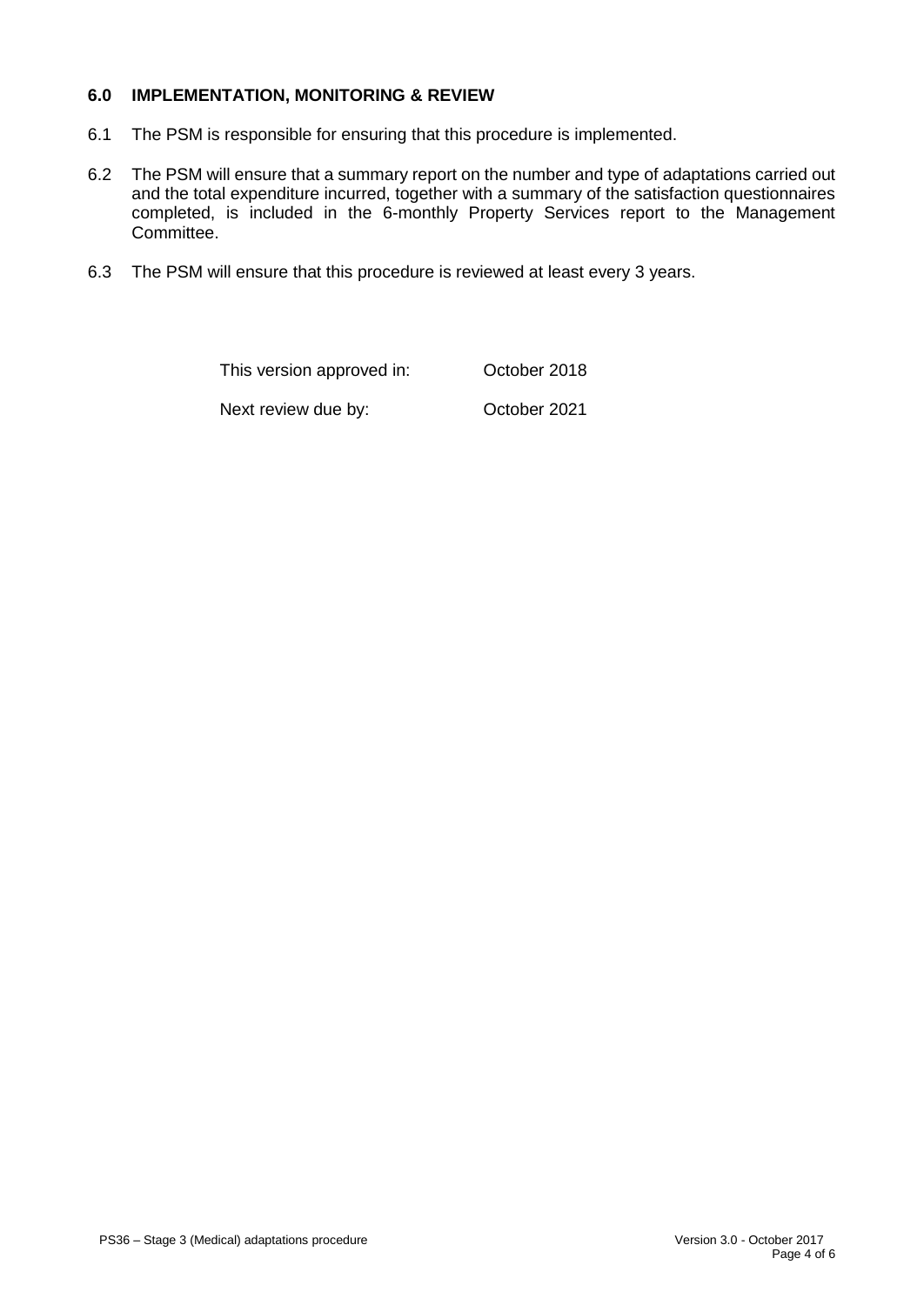# **6.0 IMPLEMENTATION, MONITORING & REVIEW**

- 6.1 The PSM is responsible for ensuring that this procedure is implemented.
- 6.2 The PSM will ensure that a summary report on the number and type of adaptations carried out and the total expenditure incurred, together with a summary of the satisfaction questionnaires completed, is included in the 6-monthly Property Services report to the Management Committee.
- 6.3 The PSM will ensure that this procedure is reviewed at least every 3 years.

| This version approved in: | October 2018 |
|---------------------------|--------------|
| Next review due by:       | October 2021 |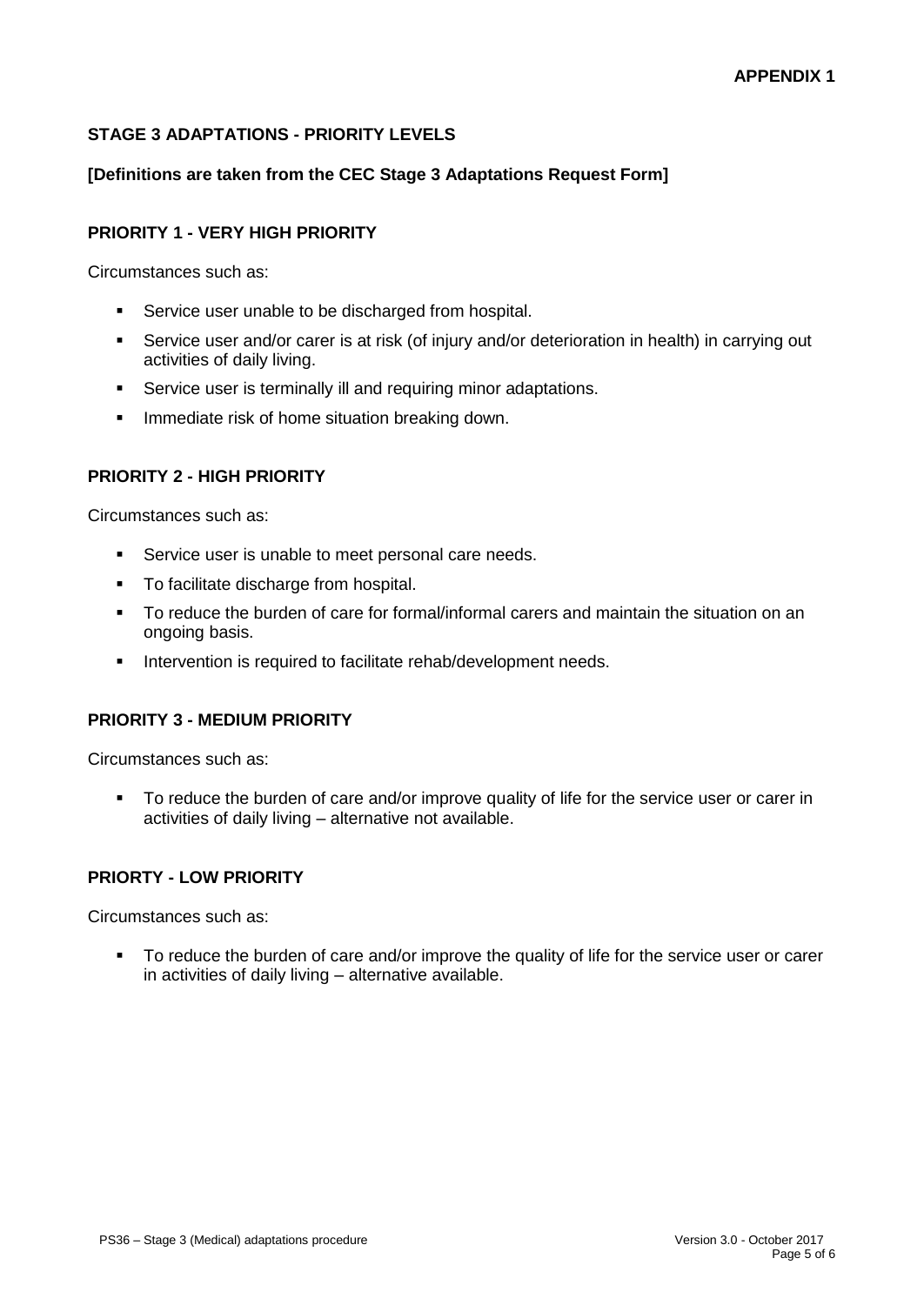# **STAGE 3 ADAPTATIONS - PRIORITY LEVELS**

# **[Definitions are taken from the CEC Stage 3 Adaptations Request Form]**

#### **PRIORITY 1 - VERY HIGH PRIORITY**

Circumstances such as:

- **•** Service user unable to be discharged from hospital.
- Service user and/or carer is at risk (of injury and/or deterioration in health) in carrying out activities of daily living.
- **EXECT:** Service user is terminally ill and requiring minor adaptations.
- Immediate risk of home situation breaking down.

#### **PRIORITY 2 - HIGH PRIORITY**

Circumstances such as:

- Service user is unable to meet personal care needs.
- To facilitate discharge from hospital.
- To reduce the burden of care for formal/informal carers and maintain the situation on an ongoing basis.
- **EXECTE:** Intervention is required to facilitate rehab/development needs.

#### **PRIORITY 3 - MEDIUM PRIORITY**

Circumstances such as:

■ To reduce the burden of care and/or improve quality of life for the service user or carer in activities of daily living – alternative not available.

#### **PRIORTY - LOW PRIORITY**

Circumstances such as:

■ To reduce the burden of care and/or improve the quality of life for the service user or carer in activities of daily living – alternative available.